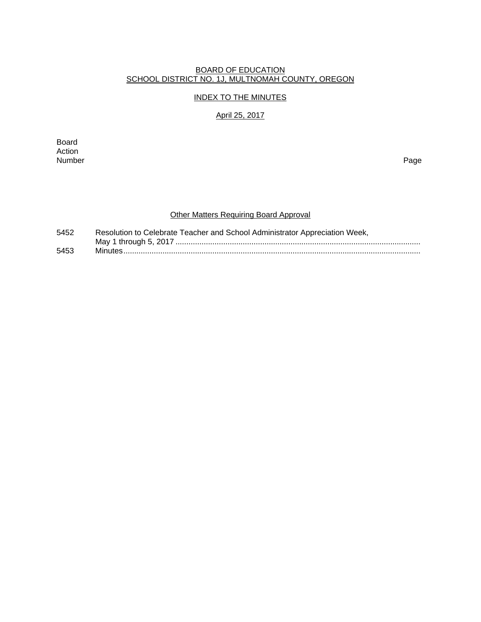#### BOARD OF EDUCATION SCHOOL DISTRICT NO. 1J, MULTNOMAH COUNTY, OREGON

# INDEX TO THE MINUTES

## April 25, 2017

Board Action<br>Number Number Page

# Other Matters Requiring Board Approval

| 5452 | Resolution to Celebrate Teacher and School Administrator Appreciation Week, |
|------|-----------------------------------------------------------------------------|
|      |                                                                             |
| 5453 |                                                                             |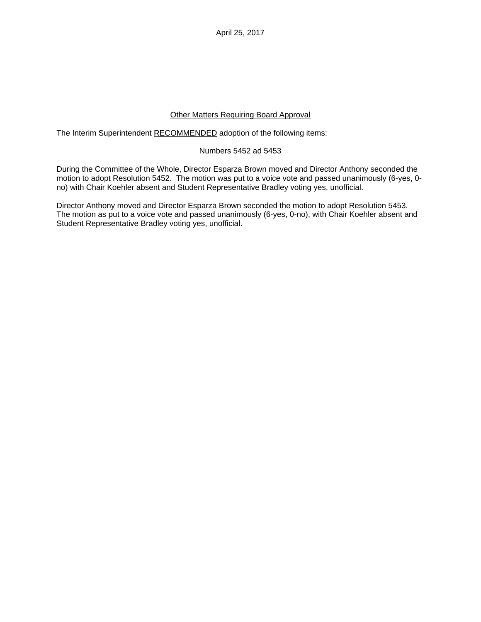April 25, 2017

## Other Matters Requiring Board Approval

The Interim Superintendent RECOMMENDED adoption of the following items:

### Numbers 5452 ad 5453

During the Committee of the Whole, Director Esparza Brown moved and Director Anthony seconded the motion to adopt Resolution 5452. The motion was put to a voice vote and passed unanimously (6-yes, 0 no) with Chair Koehler absent and Student Representative Bradley voting yes, unofficial.

Director Anthony moved and Director Esparza Brown seconded the motion to adopt Resolution 5453. The motion as put to a voice vote and passed unanimously (6-yes, 0-no), with Chair Koehler absent and Student Representative Bradley voting yes, unofficial.